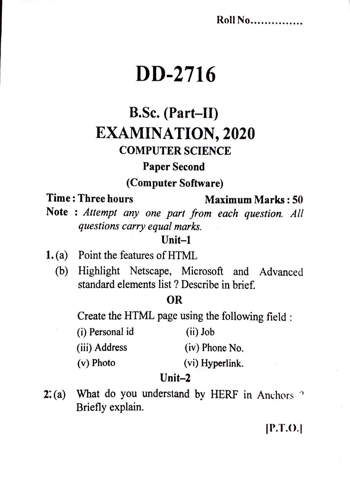**Roll No..............** 

# DD-2716

# **B.Sc. (Part-II) EXAMINATION, 2020**

# **COMPUTER SCIENCE**

## **Paper Second**

# **(Computer Software)**

## **Time: Three hours Maximum Marks** : **50**

Note : Attempt any one part from each question. All *questions carry equal marks.* 

## **Unit-1**

- **1.** (a) Point the features of HTML
	- (b) Highlight Netscape, Microsoft and Advanced standard elements list ? Describe in brief.

# **OR**

Create the HTML page using the following field:

| (i) Personal id | $(ii)$ Job       |
|-----------------|------------------|
| (iii) Address   | $(iv)$ Phone No. |
| (v) Photo       | (vi) Hyperlink.  |

# **Unit-2**

 $2:(a)$  What do you understand by HERF in Anchors  $\degree$ Briefly explain.

# $[$ P.T.O. $]$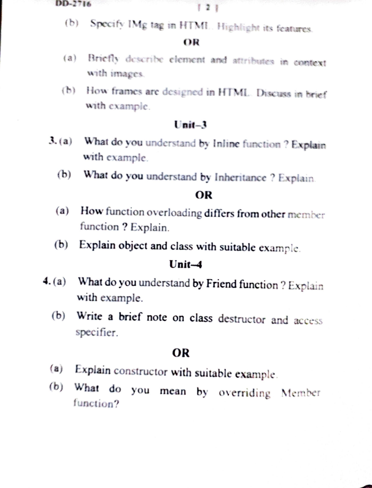(b) Specify IMg tag in HTML. Highlight its features.

#### OR

- Briefly describe element and attributes in context  $(a)$ with images.
- How frames are designed in HTML. Discuss in brief  $(b)$ with example.

### $Unit-3$

- What do you understand by Inline function ? Explain  $3. (a)$ with example.
	- $(b)$ What do you understand by Inheritance ? Explain.

### **OR**

- How function overloading differs from other member  $(a)$ function ? Explain.
- Explain object and class with suitable example. (b)

#### Unit-4

- What do you understand by Friend function ? Explain  $4. (a)$ with example.
	- Write a brief note on class destructor and access  $(b)$ specifier.

# **OR**

- Explain constructor with suitable example.  $(a)$
- $(b)$ What do you mean by overriding Member function?